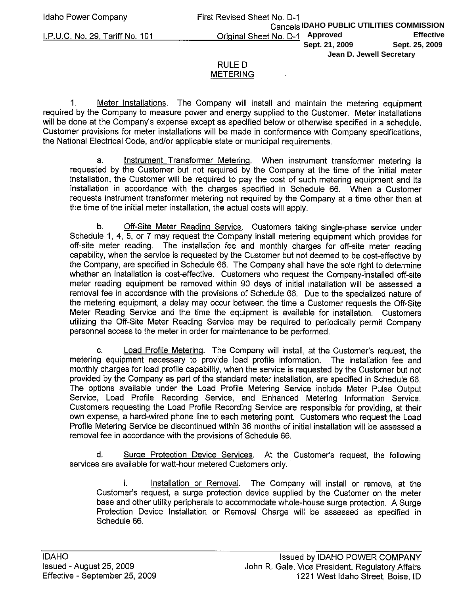I.P.U.C. No. 29, Tariff No. 101

Jean D. Jewell Secretary

#### **RULE D METERING**

1. Meter Installations. The Company will install and maintain the metering equipment required by the Company to measure power and energy supplied to the Customer. Meter installations will be done at the Company's expense except as specified below or otherwise specified in a schedule. Customer provisions for meter installations will be made in conformance with Company specifications. the National Electrical Code, and/or applicable state or municipal requirements.

a. Instrument Transformer Metering. When instrument transformer metering is requested by the Customer but not required by the Company at the time of the initial meter installation, the Customer will be required to pay the cost of such metering equipment and its installation in accordance with the charges specified in Schedule 66. When a Customer requests instrument transformer metering not required by the Company at a time other than at the time of the initial meter installation, the actual costs will apply.

b. **Off-Site Meter Reading Service.** Customers taking single-phase service under Schedule 1, 4, 5, or 7 may request the Company install metering equipment which provides for off-site meter reading. The installation fee and monthly charges for off-site meter reading capability, when the service is requested by the Customer but not deemed to be cost-effective by the Company, are specified in Schedule 66. The Company shall have the sole right to determine whether an installation is cost-effective. Customers who request the Company-installed off-site meter reading equipment be removed within 90 days of initial installation will be assessed a removal fee in accordance with the provisions of Schedule 66. Due to the specialized nature of the metering equipment, a delay may occur between the time a Customer requests the Off-Site Meter Reading Service and the time the equipment is available for installation. Customers utilizing the Off-Site Meter Reading Service may be required to periodically permit Company personnel access to the meter in order for maintenance to be performed.

Load Profile Metering. The Company will install, at the Customer's request, the C. metering equipment necessary to provide load profile information. The installation fee and monthly charges for load profile capability, when the service is requested by the Customer but not provided by the Company as part of the standard meter installation, are specified in Schedule 66. The options available under the Load Profile Metering Service include Meter Pulse Output Service, Load Profile Recording Service, and Enhanced Metering Information Service. Customers requesting the Load Profile Recording Service are responsible for providing, at their own expense, a hard-wired phone line to each metering point. Customers who request the Load Profile Metering Service be discontinued within 36 months of initial installation will be assessed a removal fee in accordance with the provisions of Schedule 66.

Surge Protection Device Services. At the Customer's request, the following d. services are available for watt-hour metered Customers only.

i. Installation or Removal. The Company will install or remove, at the Customer's request, a surge protection device supplied by the Customer on the meter base and other utility peripherals to accommodate whole-house surge protection. A Surge Protection Device Installation or Removal Charge will be assessed as specified in Schedule 66.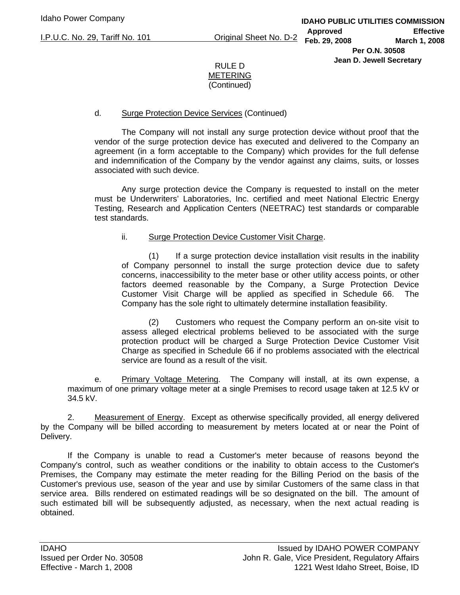I.P.U.C. No. 29, Tariff No. 101 Original Sheet No. D-2

# RULE D METERING (Continued)

#### d. Surge Protection Device Services (Continued)

The Company will not install any surge protection device without proof that the vendor of the surge protection device has executed and delivered to the Company an agreement (in a form acceptable to the Company) which provides for the full defense and indemnification of the Company by the vendor against any claims, suits, or losses associated with such device.

Any surge protection device the Company is requested to install on the meter must be Underwriters' Laboratories, Inc. certified and meet National Electric Energy Testing, Research and Application Centers (NEETRAC) test standards or comparable test standards.

#### ii. Surge Protection Device Customer Visit Charge.

(1) If a surge protection device installation visit results in the inability of Company personnel to install the surge protection device due to safety concerns, inaccessibility to the meter base or other utility access points, or other factors deemed reasonable by the Company, a Surge Protection Device Customer Visit Charge will be applied as specified in Schedule 66. The Company has the sole right to ultimately determine installation feasibility.

(2) Customers who request the Company perform an on-site visit to assess alleged electrical problems believed to be associated with the surge protection product will be charged a Surge Protection Device Customer Visit Charge as specified in Schedule 66 if no problems associated with the electrical service are found as a result of the visit.

 e. Primary Voltage Metering. The Company will install, at its own expense, a maximum of one primary voltage meter at a single Premises to record usage taken at 12.5 kV or 34.5 kV.

2. Measurement of Energy. Except as otherwise specifically provided, all energy delivered by the Company will be billed according to measurement by meters located at or near the Point of Delivery.

 If the Company is unable to read a Customer's meter because of reasons beyond the Company's control, such as weather conditions or the inability to obtain access to the Customer's Premises, the Company may estimate the meter reading for the Billing Period on the basis of the Customer's previous use, season of the year and use by similar Customers of the same class in that service area. Bills rendered on estimated readings will be so designated on the bill. The amount of such estimated bill will be subsequently adjusted, as necessary, when the next actual reading is obtained.